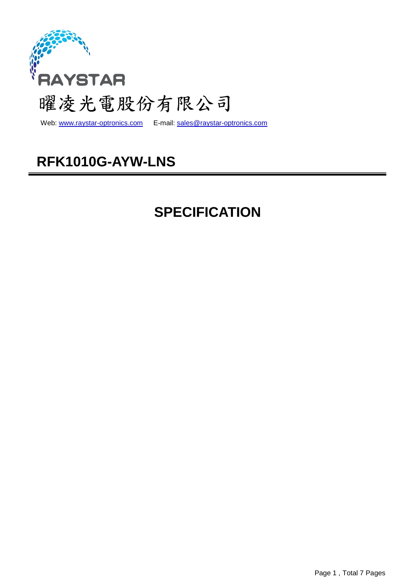

Web: www.raystar-optronics.com E-mail: sales@raystar-optronics.com

# **RFK1010G-AYW-LNS**

# **SPECIFICATION**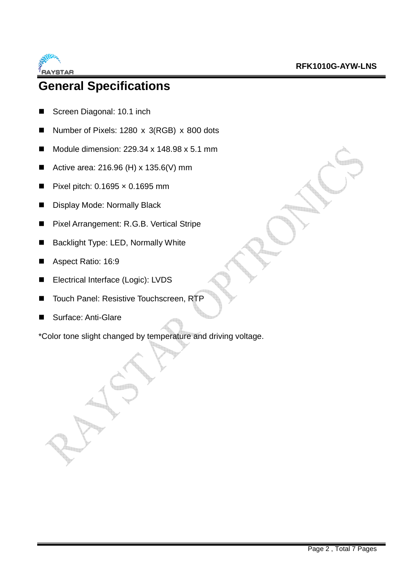

# **General Specifications**

- Screen Diagonal: 10.1 inch
- Number of Pixels: 1280 x 3(RGB) x 800 dots
- Module dimension:  $229.34 \times 148.98 \times 5.1 \text{ mm}$
- Active area:  $216.96$  (H) x  $135.6$  (V) mm
- Pixel pitch:  $0.1695 \times 0.1695$  mm
- **Display Mode: Normally Black**
- Pixel Arrangement: R.G.B. Vertical Stripe
- Backlight Type: LED, Normally White
- Aspect Ratio: 16:9
- Electrical Interface (Logic): LVDS
- Touch Panel: Resistive Touchscreen, RTP
- Surface: Anti-Glare

\*Color tone slight changed by temperature and driving voltage.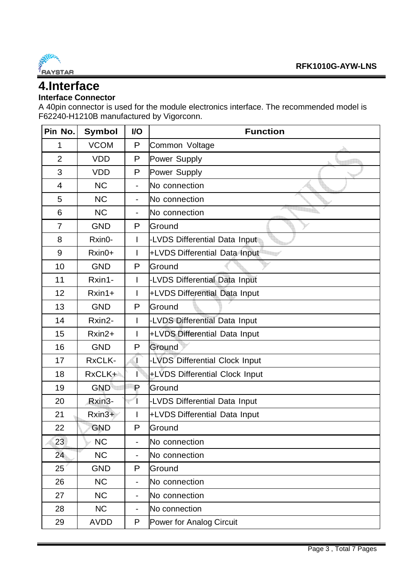

## **4.Interface**

### **Interface Connector**

A 40pin connector is used for the module electronics interface. The recommended model is F62240-H1210B manufactured by Vigorconn.

| Pin No.        | Symbol      | I/O            | <b>Function</b>                |  |  |  |
|----------------|-------------|----------------|--------------------------------|--|--|--|
| 1              | <b>VCOM</b> | P              | Common Voltage                 |  |  |  |
| $\overline{2}$ | <b>VDD</b>  | P              | Power Supply                   |  |  |  |
| 3              | <b>VDD</b>  | P              | Power Supply                   |  |  |  |
| 4              | <b>NC</b>   | $\blacksquare$ | No connection                  |  |  |  |
| 5              | <b>NC</b>   | $\frac{1}{2}$  | No connection                  |  |  |  |
| 6              | <b>NC</b>   | ÷              | No connection                  |  |  |  |
| $\overline{7}$ | <b>GND</b>  | P              | Ground                         |  |  |  |
| 8              | Rxin0-      | I              | -LVDS Differential Data Input  |  |  |  |
| 9              | $Rxin0+$    | I              | +LVDS Differential Data Input  |  |  |  |
| 10             | <b>GND</b>  | P              | Ground                         |  |  |  |
| 11             | Rxin1-      | I              | -LVDS Differential Data Input  |  |  |  |
| 12             | $Rxin1+$    | I              | +LVDS Differential Data Input  |  |  |  |
| 13             | <b>GND</b>  | P              | Ground                         |  |  |  |
| 14             | Rxin2-      | T              | -LVDS Differential Data Input  |  |  |  |
| 15             | $Rxin2+$    | I              | +LVDS Differential Data Input  |  |  |  |
| 16             | <b>GND</b>  | P              | Ground                         |  |  |  |
| 17             | RxCLK-      | Τ              | -LVDS Differential Clock Input |  |  |  |
| 18             | RxCLK+      |                | +LVDS Differential Clock Input |  |  |  |
| 19             | <b>GND</b>  | $\mathsf P$    | Ground                         |  |  |  |
| 20             | Rxin3-      |                | -LVDS Differential Data Input  |  |  |  |
| 21             | $Rxin3+$    | I              | +LVDS Differential Data Input  |  |  |  |
| 22             | <b>GND</b>  | P              | Ground                         |  |  |  |
| 23             | <b>NC</b>   |                | No connection                  |  |  |  |
| 24             | <b>NC</b>   |                | No connection                  |  |  |  |
| 25             | <b>GND</b>  | P              | Ground                         |  |  |  |
| 26             | <b>NC</b>   | $\blacksquare$ | No connection                  |  |  |  |
| 27             | <b>NC</b>   | ۰              | No connection                  |  |  |  |
| 28             | <b>NC</b>   |                | No connection                  |  |  |  |
| 29             | <b>AVDD</b> | P              | Power for Analog Circuit       |  |  |  |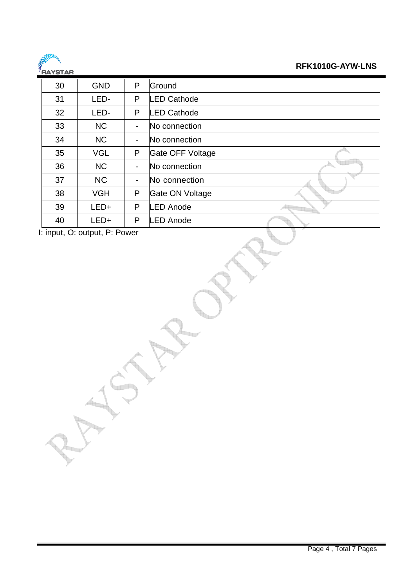

### **RFK1010G-AYW-LNS**

| 5519155 |            |                |                         |
|---------|------------|----------------|-------------------------|
| 30      | <b>GND</b> | P              | Ground                  |
| 31      | LED-       | P              | <b>ED Cathode</b>       |
| 32      | LED-       | P              | <b>ED Cathode</b>       |
| 33      | <b>NC</b>  | -              | No connection           |
| 34      | <b>NC</b>  | ۰              | No connection           |
| 35      | <b>VGL</b> | P              | <b>Gate OFF Voltage</b> |
| 36      | <b>NC</b>  | $\blacksquare$ | No connection           |
| 37      | <b>NC</b>  |                | No connection           |
| 38      | <b>VGH</b> | P              | Gate ON Voltage         |
| 39      | LED+       | P              | <b>ED Anode</b>         |
| 40      | LED+       | P              | <b>ED Anode</b>         |
| . .     |            |                |                         |

I: input, O: output, P: Power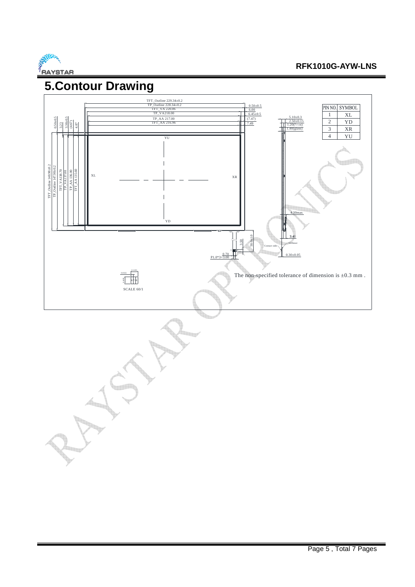

# **5.Contour Drawing**

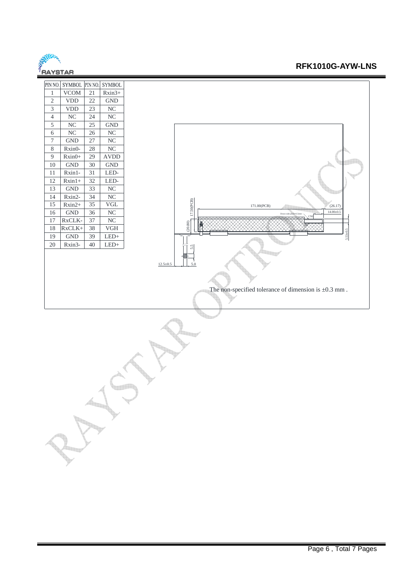

#### **RFK1010G-AYW-LNS**